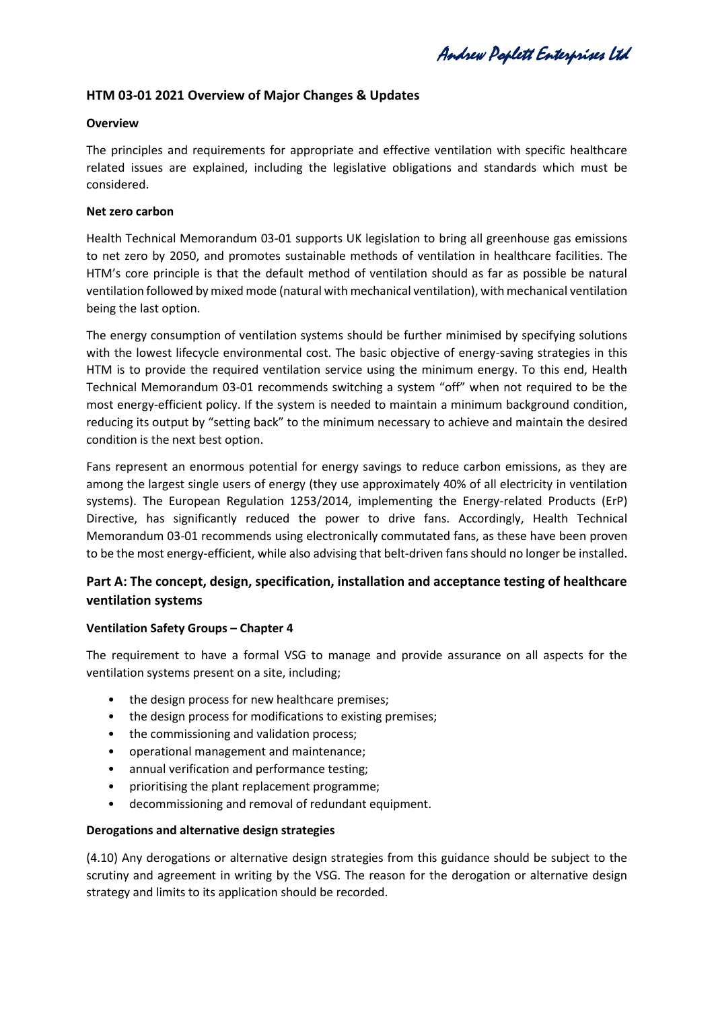Andrew Poplett Enterprises Ltd

# **HTM 03-01 2021 Overview of Major Changes & Updates**

#### **Overview**

The principles and requirements for appropriate and effective ventilation with specific healthcare related issues are explained, including the legislative obligations and standards which must be considered.

#### **Net zero carbon**

Health Technical Memorandum 03-01 supports UK legislation to bring all greenhouse gas emissions to net zero by 2050, and promotes sustainable methods of ventilation in healthcare facilities. The HTM's core principle is that the default method of ventilation should as far as possible be natural ventilation followed by mixed mode (natural with mechanical ventilation), with mechanical ventilation being the last option.

The energy consumption of ventilation systems should be further minimised by specifying solutions with the lowest lifecycle environmental cost. The basic objective of energy-saving strategies in this HTM is to provide the required ventilation service using the minimum energy. To this end, Health Technical Memorandum 03-01 recommends switching a system "off" when not required to be the most energy-efficient policy. If the system is needed to maintain a minimum background condition, reducing its output by "setting back" to the minimum necessary to achieve and maintain the desired condition is the next best option.

Fans represent an enormous potential for energy savings to reduce carbon emissions, as they are among the largest single users of energy (they use approximately 40% of all electricity in ventilation systems). The European Regulation 1253/2014, implementing the Energy-related Products (ErP) Directive, has significantly reduced the power to drive fans. Accordingly, Health Technical Memorandum 03-01 recommends using electronically commutated fans, as these have been proven to be the most energy-efficient, while also advising that belt-driven fans should no longer be installed.

# **Part A: The concept, design, specification, installation and acceptance testing of healthcare ventilation systems**

## **Ventilation Safety Groups – Chapter 4**

The requirement to have a formal VSG to manage and provide assurance on all aspects for the ventilation systems present on a site, including;

- the design process for new healthcare premises;
- the design process for modifications to existing premises;
- the commissioning and validation process;
- operational management and maintenance;
- annual verification and performance testing;
- prioritising the plant replacement programme;
- decommissioning and removal of redundant equipment.

## **Derogations and alternative design strategies**

(4.10) Any derogations or alternative design strategies from this guidance should be subject to the scrutiny and agreement in writing by the VSG. The reason for the derogation or alternative design strategy and limits to its application should be recorded.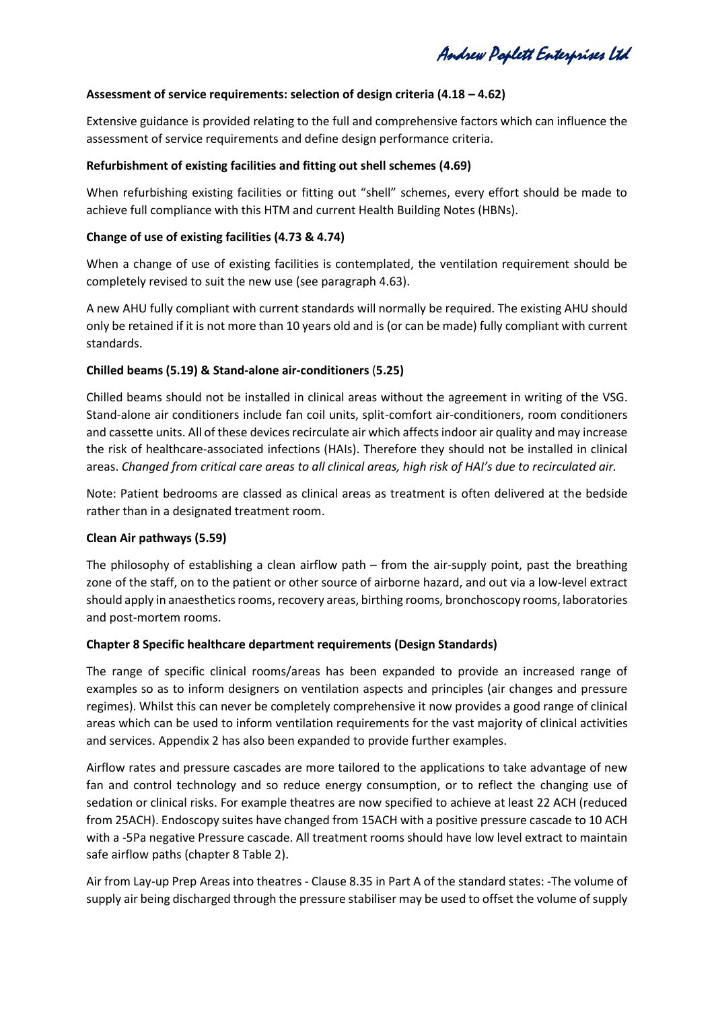Andrew Poplett Enterprises Ltd

#### **Assessment of service requirements: selection of design criteria (4.18 – 4.62)**

Extensive guidance is provided relating to the full and comprehensive factors which can influence the assessment of service requirements and define design performance criteria.

#### **Refurbishment of existing facilities and fitting out shell schemes (4.69)**

When refurbishing existing facilities or fitting out "shell" schemes, every effort should be made to achieve full compliance with this HTM and current Health Building Notes (HBNs).

#### **Change of use of existing facilities (4.73 & 4.74)**

When a change of use of existing facilities is contemplated, the ventilation requirement should be completely revised to suit the new use (see paragraph 4.63).

A new AHU fully compliant with current standards will normally be required. The existing AHU should only be retained if it is not more than 10 years old and is (or can be made) fully compliant with current standards.

#### **Chilled beams (5.19) & Stand-alone air-conditioners** (**5.25)**

Chilled beams should not be installed in clinical areas without the agreement in writing of the VSG. Stand-alone air conditioners include fan coil units, split-comfort air-conditioners, room conditioners and cassette units. All of these devices recirculate air which affects indoor air quality and may increase the risk of healthcare-associated infections (HAIs). Therefore they should not be installed in clinical areas. *Changed from critical care areas to all clinical areas, high risk of HAI's due to recirculated air.*

Note: Patient bedrooms are classed as clinical areas as treatment is often delivered at the bedside rather than in a designated treatment room.

## **Clean Air pathways (5.59)**

The philosophy of establishing a clean airflow path – from the air-supply point, past the breathing zone of the staff, on to the patient or other source of airborne hazard, and out via a low-level extract should apply in anaesthetics rooms, recovery areas, birthing rooms, bronchoscopy rooms, laboratories and post-mortem rooms.

#### **Chapter 8 Specific healthcare department requirements (Design Standards)**

The range of specific clinical rooms/areas has been expanded to provide an increased range of examples so as to inform designers on ventilation aspects and principles (air changes and pressure regimes). Whilst this can never be completely comprehensive it now provides a good range of clinical areas which can be used to inform ventilation requirements for the vast majority of clinical activities and services. Appendix 2 has also been expanded to provide further examples.

Airflow rates and pressure cascades are more tailored to the applications to take advantage of new fan and control technology and so reduce energy consumption, or to reflect the changing use of sedation or clinical risks. For example theatres are now specified to achieve at least 22 ACH (reduced from 25ACH). Endoscopy suites have changed from 15ACH with a positive pressure cascade to 10 ACH with a -5Pa negative Pressure cascade. All treatment rooms should have low level extract to maintain safe airflow paths (chapter 8 Table 2).

Air from Lay-up Prep Areas into theatres - Clause 8.35 in Part A of the standard states: -The volume of supply air being discharged through the pressure stabiliser may be used to offset the volume of supply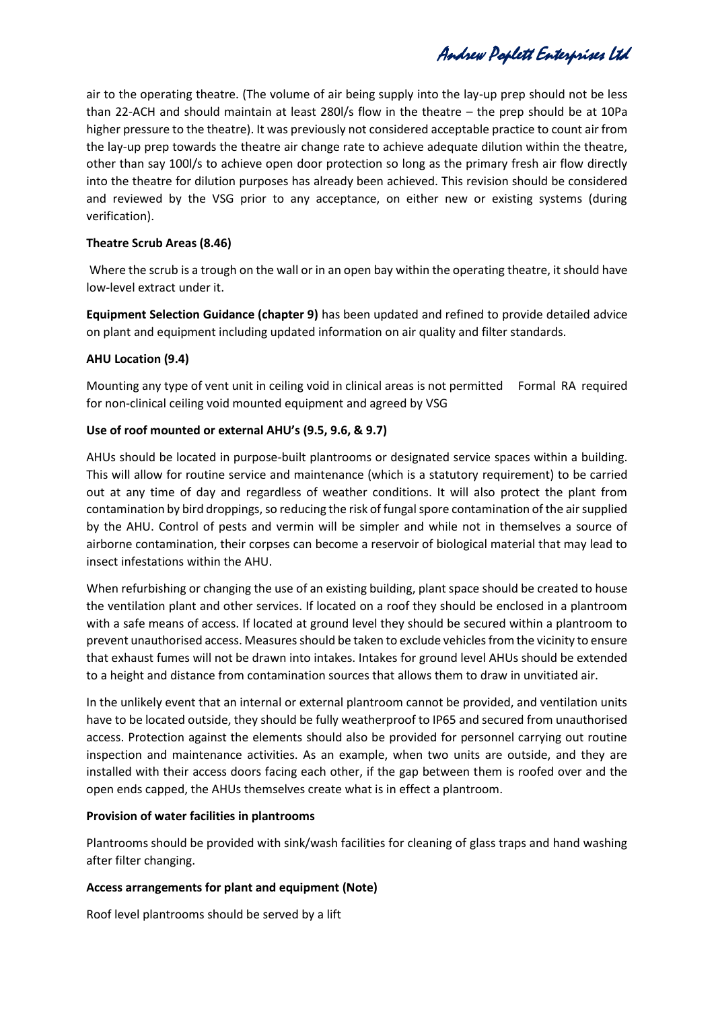Andrew Poplett Enterprises Ltd

air to the operating theatre. (The volume of air being supply into the lay-up prep should not be less than 22-ACH and should maintain at least 280l/s flow in the theatre – the prep should be at 10Pa higher pressure to the theatre). It was previously not considered acceptable practice to count air from the lay-up prep towards the theatre air change rate to achieve adequate dilution within the theatre, other than say 100l/s to achieve open door protection so long as the primary fresh air flow directly into the theatre for dilution purposes has already been achieved. This revision should be considered and reviewed by the VSG prior to any acceptance, on either new or existing systems (during verification).

## **Theatre Scrub Areas (8.46)**

Where the scrub is a trough on the wall or in an open bay within the operating theatre, it should have low-level extract under it.

**Equipment Selection Guidance (chapter 9)** has been updated and refined to provide detailed advice on plant and equipment including updated information on air quality and filter standards.

# **AHU Location (9.4)**

Mounting any type of vent unit in ceiling void in clinical areas is not permitted Formal RA required for non-clinical ceiling void mounted equipment and agreed by VSG

# **Use of roof mounted or external AHU's (9.5, 9.6, & 9.7)**

AHUs should be located in purpose-built plantrooms or designated service spaces within a building. This will allow for routine service and maintenance (which is a statutory requirement) to be carried out at any time of day and regardless of weather conditions. It will also protect the plant from contamination by bird droppings, so reducing the risk of fungal spore contamination of the air supplied by the AHU. Control of pests and vermin will be simpler and while not in themselves a source of airborne contamination, their corpses can become a reservoir of biological material that may lead to insect infestations within the AHU.

When refurbishing or changing the use of an existing building, plant space should be created to house the ventilation plant and other services. If located on a roof they should be enclosed in a plantroom with a safe means of access. If located at ground level they should be secured within a plantroom to prevent unauthorised access. Measures should be taken to exclude vehicles from the vicinity to ensure that exhaust fumes will not be drawn into intakes. Intakes for ground level AHUs should be extended to a height and distance from contamination sources that allows them to draw in unvitiated air.

In the unlikely event that an internal or external plantroom cannot be provided, and ventilation units have to be located outside, they should be fully weatherproof to IP65 and secured from unauthorised access. Protection against the elements should also be provided for personnel carrying out routine inspection and maintenance activities. As an example, when two units are outside, and they are installed with their access doors facing each other, if the gap between them is roofed over and the open ends capped, the AHUs themselves create what is in effect a plantroom.

## **Provision of water facilities in plantrooms**

Plantrooms should be provided with sink/wash facilities for cleaning of glass traps and hand washing after filter changing.

# **Access arrangements for plant and equipment (Note)**

Roof level plantrooms should be served by a lift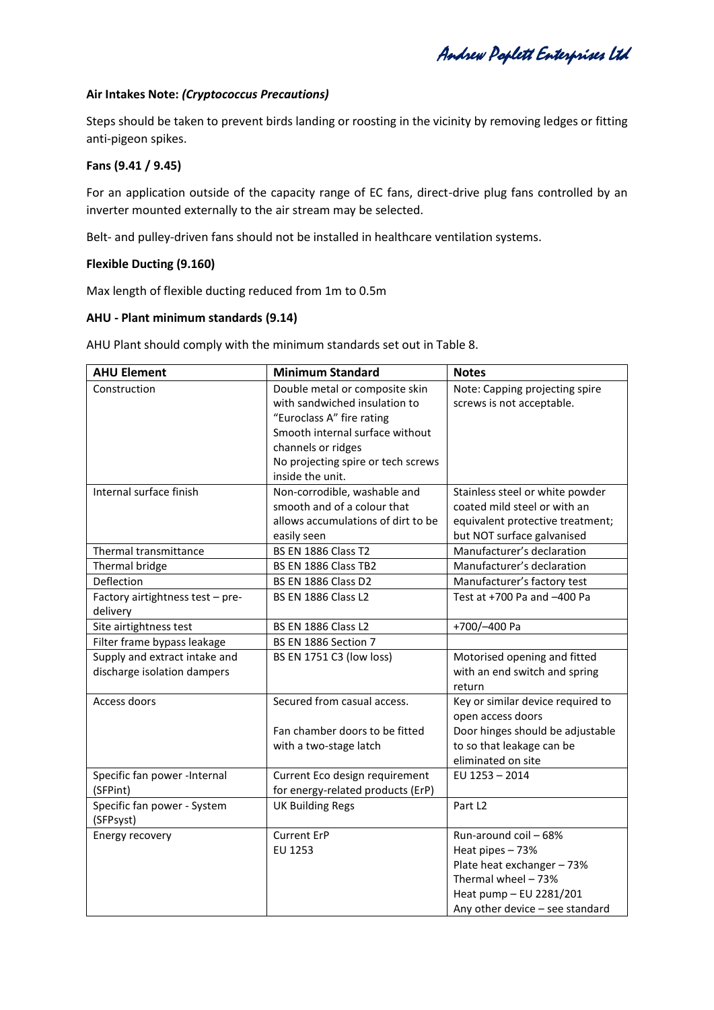Andrew Poplett Enterprises Ltd

#### **Air Intakes Note:** *(Cryptococcus Precautions)*

Steps should be taken to prevent birds landing or roosting in the vicinity by removing ledges or fitting anti-pigeon spikes.

## **Fans (9.41 / 9.45)**

For an application outside of the capacity range of EC fans, direct-drive plug fans controlled by an inverter mounted externally to the air stream may be selected.

Belt- and pulley-driven fans should not be installed in healthcare ventilation systems.

#### **Flexible Ducting (9.160)**

Max length of flexible ducting reduced from 1m to 0.5m

#### **AHU - Plant minimum standards (9.14)**

AHU Plant should comply with the minimum standards set out in Table 8.

| <b>AHU Element</b>                           | <b>Minimum Standard</b>                                         | <b>Notes</b>                                                |
|----------------------------------------------|-----------------------------------------------------------------|-------------------------------------------------------------|
| Construction                                 | Double metal or composite skin<br>with sandwiched insulation to | Note: Capping projecting spire<br>screws is not acceptable. |
|                                              | "Euroclass A" fire rating                                       |                                                             |
|                                              | Smooth internal surface without                                 |                                                             |
|                                              | channels or ridges                                              |                                                             |
|                                              | No projecting spire or tech screws                              |                                                             |
|                                              | inside the unit.                                                |                                                             |
| Internal surface finish                      | Non-corrodible, washable and                                    | Stainless steel or white powder                             |
|                                              | smooth and of a colour that                                     | coated mild steel or with an                                |
|                                              | allows accumulations of dirt to be                              | equivalent protective treatment;                            |
|                                              | easily seen                                                     | but NOT surface galvanised                                  |
| Thermal transmittance                        | <b>BS EN 1886 Class T2</b>                                      | Manufacturer's declaration                                  |
| Thermal bridge                               | BS EN 1886 Class TB2                                            | Manufacturer's declaration                                  |
| Deflection                                   | <b>BS EN 1886 Class D2</b>                                      | Manufacturer's factory test                                 |
| Factory airtightness test - pre-<br>delivery | BS EN 1886 Class L2                                             | Test at +700 Pa and -400 Pa                                 |
| Site airtightness test                       | BS EN 1886 Class L2                                             | +700/-400 Pa                                                |
| Filter frame bypass leakage                  | BS EN 1886 Section 7                                            |                                                             |
| Supply and extract intake and                | BS EN 1751 C3 (low loss)                                        | Motorised opening and fitted                                |
| discharge isolation dampers                  |                                                                 | with an end switch and spring                               |
|                                              |                                                                 | return                                                      |
| Access doors                                 | Secured from casual access.                                     | Key or similar device required to                           |
|                                              |                                                                 | open access doors                                           |
|                                              | Fan chamber doors to be fitted                                  | Door hinges should be adjustable                            |
|                                              | with a two-stage latch                                          | to so that leakage can be                                   |
|                                              |                                                                 | eliminated on site                                          |
| Specific fan power -Internal                 | Current Eco design requirement                                  | EU 1253 - 2014                                              |
| (SFPint)                                     | for energy-related products (ErP)                               |                                                             |
| Specific fan power - System<br>(SFPsyst)     | <b>UK Building Regs</b>                                         | Part L <sub>2</sub>                                         |
| Energy recovery                              | <b>Current ErP</b>                                              | Run-around coil - 68%                                       |
|                                              | EU 1253                                                         | Heat pipes - 73%                                            |
|                                              |                                                                 | Plate heat exchanger - 73%                                  |
|                                              |                                                                 | Thermal wheel - 73%                                         |
|                                              |                                                                 | Heat pump - EU 2281/201                                     |
|                                              |                                                                 | Any other device - see standard                             |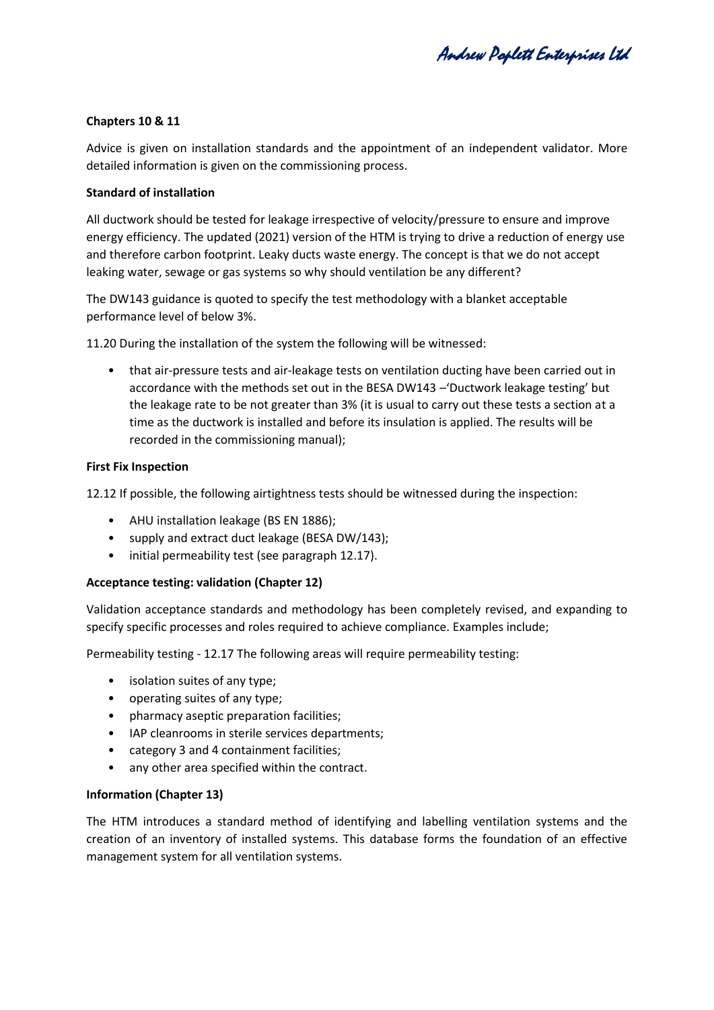Andrew Poplett Enterprises Ltd

## **Chapters 10 & 11**

Advice is given on installation standards and the appointment of an independent validator. More detailed information is given on the commissioning process.

## **Standard of installation**

All ductwork should be tested for leakage irrespective of velocity/pressure to ensure and improve energy efficiency. The updated (2021) version of the HTM is trying to drive a reduction of energy use and therefore carbon footprint. Leaky ducts waste energy. The concept is that we do not accept leaking water, sewage or gas systems so why should ventilation be any different?

The DW143 guidance is quoted to specify the test methodology with a blanket acceptable performance level of below 3%.

11.20 During the installation of the system the following will be witnessed:

• that air-pressure tests and air-leakage tests on ventilation ducting have been carried out in accordance with the methods set out in the BESA DW143 –'Ductwork leakage testing' but the leakage rate to be not greater than 3% (it is usual to carry out these tests a section at a time as the ductwork is installed and before its insulation is applied. The results will be recorded in the commissioning manual);

## **First Fix Inspection**

12.12 If possible, the following airtightness tests should be witnessed during the inspection:

- AHU installation leakage (BS EN 1886);
- supply and extract duct leakage (BESA DW/143);
- initial permeability test (see paragraph 12.17).

## **Acceptance testing: validation (Chapter 12)**

Validation acceptance standards and methodology has been completely revised, and expanding to specify specific processes and roles required to achieve compliance. Examples include;

Permeability testing - 12.17 The following areas will require permeability testing:

- isolation suites of any type;
- operating suites of any type;
- pharmacy aseptic preparation facilities;
- IAP cleanrooms in sterile services departments;
- category 3 and 4 containment facilities;
- any other area specified within the contract.

## **Information (Chapter 13)**

The HTM introduces a standard method of identifying and labelling ventilation systems and the creation of an inventory of installed systems. This database forms the foundation of an effective management system for all ventilation systems.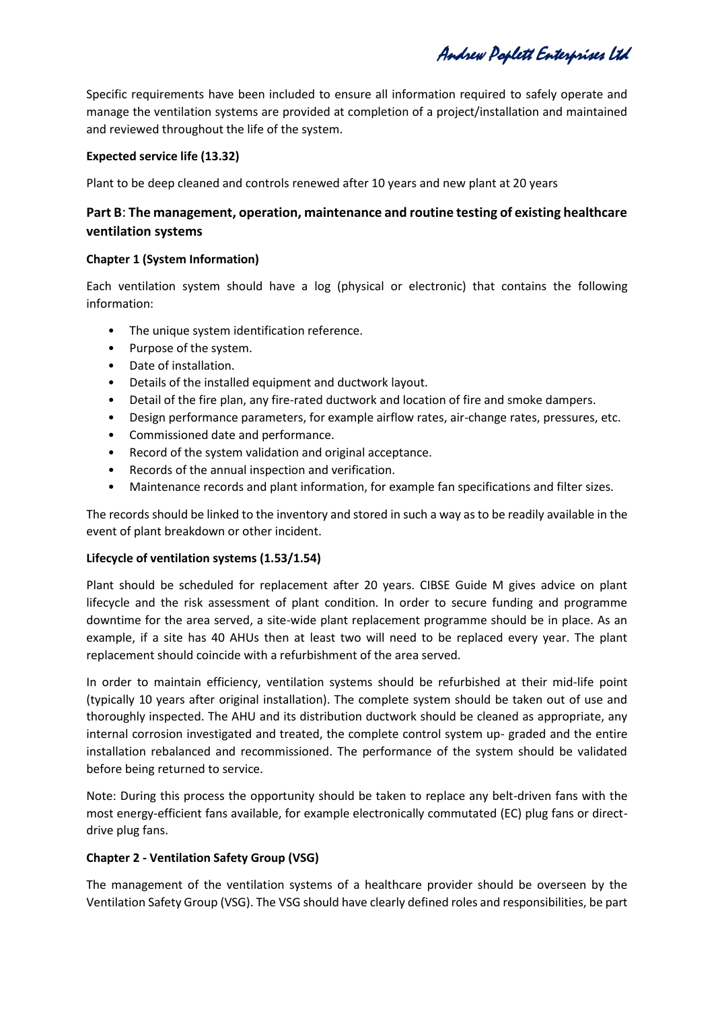Andrew Poplett Enterprises Ltd

Specific requirements have been included to ensure all information required to safely operate and manage the ventilation systems are provided at completion of a project/installation and maintained and reviewed throughout the life of the system.

# **Expected service life (13.32)**

Plant to be deep cleaned and controls renewed after 10 years and new plant at 20 years

# **Part B**: **The management, operation, maintenance and routine testing of existing healthcare ventilation systems**

# **Chapter 1 (System Information)**

Each ventilation system should have a log (physical or electronic) that contains the following information:

- The unique system identification reference.
- Purpose of the system.
- Date of installation.
- Details of the installed equipment and ductwork layout.
- Detail of the fire plan, any fire-rated ductwork and location of fire and smoke dampers.
- Design performance parameters, for example airflow rates, air-change rates, pressures, etc.
- Commissioned date and performance.
- Record of the system validation and original acceptance.
- Records of the annual inspection and verification.
- Maintenance records and plant information, for example fan specifications and filter sizes.

The records should be linked to the inventory and stored in such a way as to be readily available in the event of plant breakdown or other incident.

## **Lifecycle of ventilation systems (1.53/1.54)**

Plant should be scheduled for replacement after 20 years. CIBSE Guide M gives advice on plant lifecycle and the risk assessment of plant condition. In order to secure funding and programme downtime for the area served, a site-wide plant replacement programme should be in place. As an example, if a site has 40 AHUs then at least two will need to be replaced every year. The plant replacement should coincide with a refurbishment of the area served.

In order to maintain efficiency, ventilation systems should be refurbished at their mid-life point (typically 10 years after original installation). The complete system should be taken out of use and thoroughly inspected. The AHU and its distribution ductwork should be cleaned as appropriate, any internal corrosion investigated and treated, the complete control system up- graded and the entire installation rebalanced and recommissioned. The performance of the system should be validated before being returned to service.

Note: During this process the opportunity should be taken to replace any belt-driven fans with the most energy-efficient fans available, for example electronically commutated (EC) plug fans or directdrive plug fans.

## **Chapter 2 - Ventilation Safety Group (VSG)**

The management of the ventilation systems of a healthcare provider should be overseen by the Ventilation Safety Group (VSG). The VSG should have clearly defined roles and responsibilities, be part